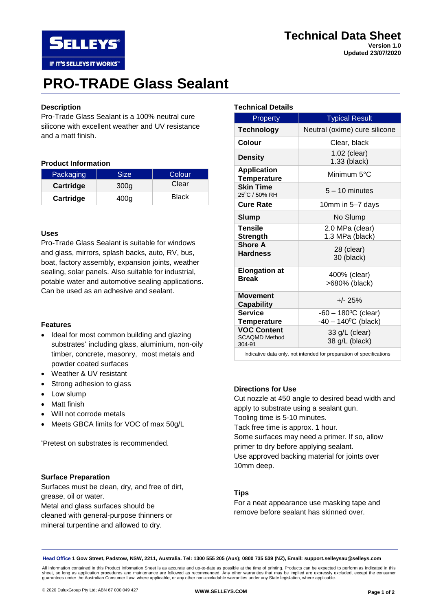

**Updated 23/07/2020**

# **PRO-TRADE Glass Sealant**

## **Description**

Pro-Trade Glass Sealant is a 100% neutral cure silicone with excellent weather and UV resistance and a matt finish.

#### **Product Information**

**SELLEYS** 

IF IT'S SELLEYS IT WORKS"

| Packaging | Size | Colour |
|-----------|------|--------|
| Cartridge | 300g | Clear  |
| Cartridge | 400a | Black  |

#### **Uses**

Pro-Trade Glass Sealant is suitable for windows and glass, mirrors, splash backs, auto, RV, bus, boat, factory assembly, expansion joints, weather sealing, solar panels. Also suitable for industrial, potable water and automotive sealing applications. Can be used as an adhesive and sealant.

#### **Features**

- Ideal for most common building and glazing substrates\* including glass, aluminium, non-oily timber, concrete, masonry, most metals and powder coated surfaces
- Weather & UV resistant
- Strong adhesion to glass
- Low slump
- Matt finish
- Will not corrode metals
- Meets GBCA limits for VOC of max 50g/L

\*Pretest on substrates is recommended.

#### **Surface Preparation**

Surfaces must be clean, dry, and free of dirt, grease, oil or water.

Metal and glass surfaces should be cleaned with general-purpose thinners or mineral turpentine and allowed to dry.

#### **Technical Details**

| <b>Property</b>                                      | <b>Typical Result</b>                                                    |
|------------------------------------------------------|--------------------------------------------------------------------------|
| <b>Technology</b>                                    | Neutral (oxime) cure silicone                                            |
| Colour                                               | Clear, black                                                             |
| <b>Density</b>                                       | 1.02 (clear)<br>1.33 (black)                                             |
| <b>Application</b><br><b>Temperature</b>             | Minimum $5^{\circ}$ C                                                    |
| <b>Skin Time</b><br>25 <sup>°</sup> C / 50% RH       | $5 - 10$ minutes                                                         |
| <b>Cure Rate</b>                                     | 10mm in 5-7 days                                                         |
| Slump                                                | No Slump                                                                 |
| <b>Tensile</b><br><b>Strength</b>                    | 2.0 MPa (clear)<br>1.3 MPa (black)                                       |
| <b>Shore A</b><br><b>Hardness</b>                    | 28 (clear)<br>30 (black)                                                 |
| <b>Elongation at</b><br><b>Break</b>                 | 400% (clear)<br>>680% (black)                                            |
| Movement<br>Capability                               | $+/- 25%$                                                                |
| <b>Service</b><br>Temperature                        | $-60 - 180$ <sup>o</sup> C (clear)<br>$-40 - 140$ <sup>o</sup> C (black) |
| <b>VOC Content</b><br><b>SCAQMD Method</b><br>304-91 | 33 g/L (clear)<br>38 g/L (black)                                         |

Indicative data only, not intended for preparation of specifications

## **Directions for Use**

Cut nozzle at 450 angle to desired bead width and apply to substrate using a sealant gun. Tooling time is 5-10 minutes. Tack free time is approx. 1 hour. Some surfaces may need a primer. If so, allow primer to dry before applying sealant. Use approved backing material for joints over 10mm deep.

## **Tips**

For a neat appearance use masking tape and remove before sealant has skinned over.

**Head Office 1 Gow Street, Padstow, NSW, 2211, Australia. Tel: 1300 555 205 (Aus); 0800 735 539 (NZ), Email: support.selleysau@selleys.com**

All information contained in this Product Information Sheet is as accurate and up-to-date as possible at the time of printing. Products can be expected to perform as indicated in this<br>sheet, so long as application procedur guarantees under the Australian Consumer Law, where applicable, or any other non-excludable warranties under any State legislation, where applicable.